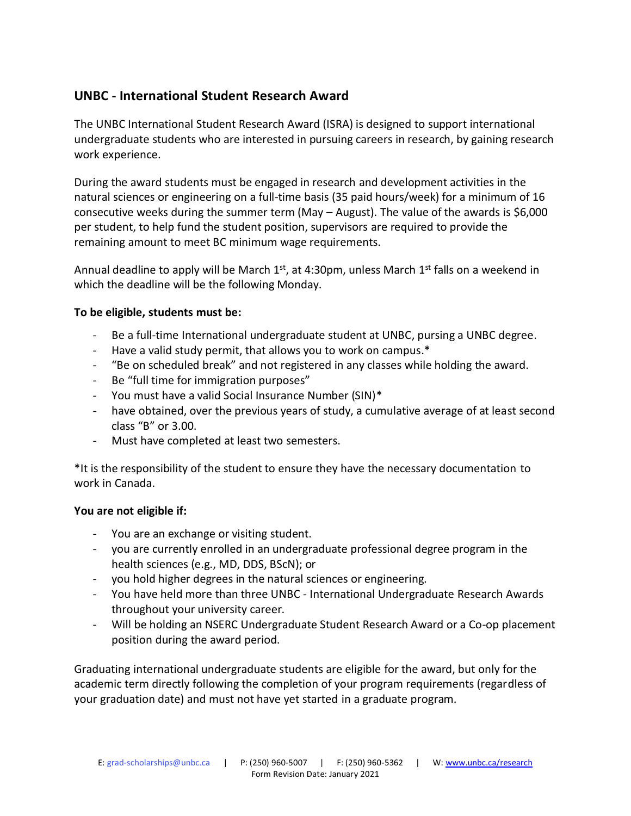# **UNBC - International Student Research Award**

The UNBC International Student Research Award (ISRA) is designed to support international undergraduate students who are interested in pursuing careers in research, by gaining research work experience.

During the award students must be engaged in research and development activities in the natural sciences or engineering on a full-time basis (35 paid hours/week) for a minimum of 16 consecutive weeks during the summer term (May – August). The value of the awards is \$6,000 per student, to help fund the student position, supervisors are required to provide the remaining amount to meet BC minimum wage requirements.

Annual deadline to apply will be March  $1<sup>st</sup>$ , at 4:30pm, unless March  $1<sup>st</sup>$  falls on a weekend in which the deadline will be the following Monday.

### **To be eligible, students must be:**

- Be a full-time International undergraduate student at UNBC, pursing a UNBC degree.
- Have a valid study permit, that allows you to work on campus.\*
- "Be on scheduled break" and not registered in any classes while holding the award.
- Be "full time for immigration purposes"
- You must have a valid Social Insurance Number (SIN)\*
- have obtained, over the previous years of study, a cumulative average of at least second class "B" or 3.00.
- Must have completed at least two semesters.

\*It is the responsibility of the student to ensure they have the necessary documentation to work in Canada.

#### **You are not eligible if:**

- You are an exchange or visiting student.
- you are currently enrolled in an undergraduate professional degree program in the health sciences (e.g., MD, DDS, BScN); or
- you hold higher degrees in the natural sciences or engineering.
- You have held more than three UNBC International Undergraduate Research Awards throughout your university career.
- Will be holding an NSERC Undergraduate Student Research Award or a Co-op placement position during the award period.

Graduating international undergraduate students are eligible for the award, but only for the academic term directly following the completion of your program requirements (regardless of your graduation date) and must not have yet started in a graduate program.